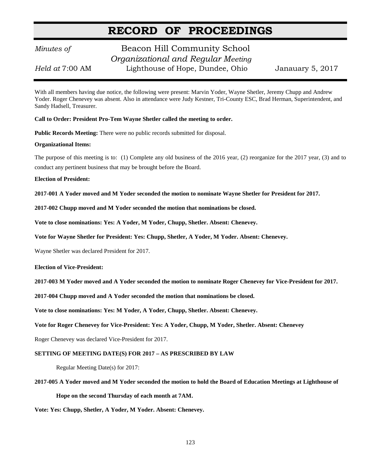# **RECORD OF PROCEEDINGS**

## *Minutes of* **Beacon Hill Community School**  *Organizational and Regular Meeting Held at* 7:00 AM Lighthouse of Hope, Dundee, Ohio Janauary 5, 2017

With all members having due notice, the following were present: Marvin Yoder, Wayne Shetler, Jeremy Chupp and Andrew Yoder. Roger Chenevey was absent. Also in attendance were Judy Kestner, Tri-County ESC, Brad Herman, Superintendent, and Sandy Hadsell, Treasurer.

**Call to Order: President Pro-Tem Wayne Shetler called the meeting to order.**

**Public Records Meeting:** There were no public records submitted for disposal.

#### **Organizational Items:**

The purpose of this meeting is to: (1) Complete any old business of the 2016 year, (2) reorganize for the 2017 year, (3) and to conduct any pertinent business that may be brought before the Board.

**Election of President:**

**2017-001 A Yoder moved and M Yoder seconded the motion to nominate Wayne Shetler for President for 2017.**

**2017-002 Chupp moved and M Yoder seconded the motion that nominations be closed.**

**Vote to close nominations: Yes: A Yoder, M Yoder, Chupp, Shetler. Absent: Chenevey.**

**Vote for Wayne Shetler for President: Yes: Chupp, Shetler, A Yoder, M Yoder. Absent: Chenevey.**

Wayne Shetler was declared President for 2017.

**Election of Vice-President:**

**2017-003 M Yoder moved and A Yoder seconded the motion to nominate Roger Chenevey for Vice-President for 2017.**

**2017-004 Chupp moved and A Yoder seconded the motion that nominations be closed.**

**Vote to close nominations: Yes: M Yoder, A Yoder, Chupp, Shetler. Absent: Chenevey.**

**Vote for Roger Chenevey for Vice-President: Yes: A Yoder, Chupp, M Yoder, Shetler. Absent: Chenevey**

Roger Chenevey was declared Vice-President for 2017.

#### **SETTING OF MEETING DATE(S) FOR 2017 – AS PRESCRIBED BY LAW**

Regular Meeting Date(s) for 2017:

**2017-005 A Yoder moved and M Yoder seconded the motion to hold the Board of Education Meetings at Lighthouse of Hope on the second Thursday of each month at 7AM.**

**Vote: Yes: Chupp, Shetler, A Yoder, M Yoder. Absent: Chenevey.**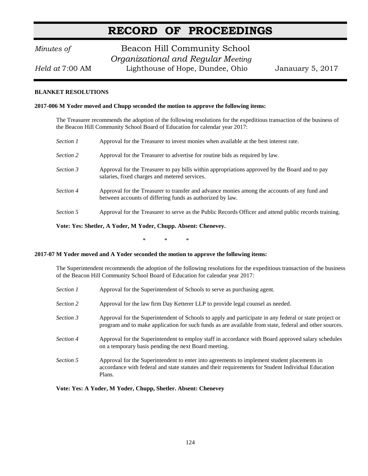# **RECORD OF PROCEEDINGS**

## *Minutes of* **Beacon Hill Community School**  *Organizational and Regular Meeting Held at* 7:00 AM Lighthouse of Hope, Dundee, Ohio Janauary 5, 2017

#### **BLANKET RESOLUTIONS**

#### **2017-006 M Yoder moved and Chupp seconded the motion to approve the following items:**

The Treasurer recommends the adoption of the following resolutions for the expeditious transaction of the business of the Beacon Hill Community School Board of Education for calendar year 2017:

| Section 1 | Approval for the Treasurer to invest monies when available at the best interest rate.                                                                     |
|-----------|-----------------------------------------------------------------------------------------------------------------------------------------------------------|
| Section 2 | Approval for the Treasurer to advertise for routine bids as required by law.                                                                              |
| Section 3 | Approval for the Treasurer to pay bills within appropriations approved by the Board and to pay<br>salaries, fixed charges and metered services.           |
| Section 4 | Approval for the Treasurer to transfer and advance monies among the accounts of any fund and<br>between accounts of differing funds as authorized by law. |
| Section 5 | Approval for the Treasurer to serve as the Public Records Officer and attend public records training.                                                     |

**Vote: Yes: Shetler, A Yoder, M Yoder, Chupp. Absent: Chenevey.**

\* \* \*

#### **2017-07 M Yoder moved and A Yoder seconded the motion to approve the following items:**

The Superintendent recommends the adoption of the following resolutions for the expeditious transaction of the business of the Beacon Hill Community School Board of Education for calendar year 2017:

| Section 1 | Approval for the Superintendent of Schools to serve as purchasing agent.                                                                                                                                         |
|-----------|------------------------------------------------------------------------------------------------------------------------------------------------------------------------------------------------------------------|
| Section 2 | Approval for the law firm Day Ketterer LLP to provide legal counsel as needed.                                                                                                                                   |
| Section 3 | Approval for the Superintendent of Schools to apply and participate in any federal or state project or<br>program and to make application for such funds as are available from state, federal and other sources. |
| Section 4 | Approval for the Superintendent to employ staff in accordance with Board approved salary schedules<br>on a temporary basis pending the next Board meeting.                                                       |
| Section 5 | Approval for the Superintendent to enter into agreements to implement student placements in<br>accordance with federal and state statutes and their requirements for Student Individual Education<br>Plans.      |

**Vote: Yes: A Yoder, M Yoder, Chupp, Shetler. Absent: Chenevey**